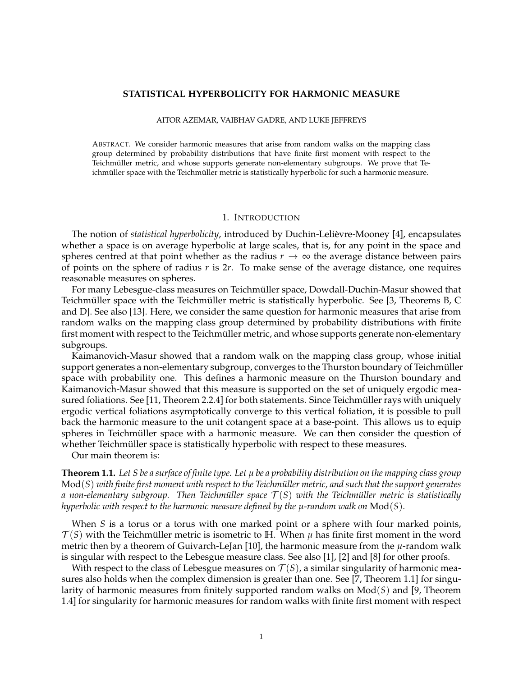# **STATISTICAL HYPERBOLICITY FOR HARMONIC MEASURE**

### AITOR AZEMAR, VAIBHAV GADRE, AND LUKE JEFFREYS

ABSTRACT. We consider harmonic measures that arise from random walks on the mapping class group determined by probability distributions that have finite first moment with respect to the Teichmüller metric, and whose supports generate non-elementary subgroups. We prove that Teichmüller space with the Teichmüller metric is statistically hyperbolic for such a harmonic measure.

### 1. INTRODUCTION

The notion of *statistical hyperbolicity*, introduced by Duchin-Lelievre-Mooney [4], encapsulates ` whether a space is on average hyperbolic at large scales, that is, for any point in the space and spheres centred at that point whether as the radius  $r \to \infty$  the average distance between pairs of points on the sphere of radius *r* is 2*r*. To make sense of the average distance, one requires reasonable measures on spheres.

For many Lebesgue-class measures on Teichmüller space, Dowdall-Duchin-Masur showed that Teichmüller space with the Teichmüller metric is statistically hyperbolic. See [3, Theorems B, C and D]. See also [13]. Here, we consider the same question for harmonic measures that arise from random walks on the mapping class group determined by probability distributions with finite first moment with respect to the Teichmüller metric, and whose supports generate non-elementary subgroups.

Kaimanovich-Masur showed that a random walk on the mapping class group, whose initial support generates a non-elementary subgroup, converges to the Thurston boundary of Teichmüller space with probability one. This defines a harmonic measure on the Thurston boundary and Kaimanovich-Masur showed that this measure is supported on the set of uniquely ergodic measured foliations. See [11, Theorem 2.2.4] for both statements. Since Teichmüller rays with uniquely ergodic vertical foliations asymptotically converge to this vertical foliation, it is possible to pull back the harmonic measure to the unit cotangent space at a base-point. This allows us to equip spheres in Teichmüller space with a harmonic measure. We can then consider the question of whether Teichmüller space is statistically hyperbolic with respect to these measures.

Our main theorem is:

**Theorem 1.1.** *Let S be a surface of finite type. Let µ be a probability distribution on the mapping class group* Mod(*S*) *with finite first moment with respect to the Teichm ¨uller metric, and such that the support generates a* non-elementary subgroup. Then Teichmüller space  $T(S)$  with the Teichmüller metric is statistically *hyperbolic with respect to the harmonic measure defined by the µ-random walk on* Mod(*S*)*.*

When *S* is a torus or a torus with one marked point or a sphere with four marked points,  $T(S)$  with the Teichmüller metric is isometric to H. When  $\mu$  has finite first moment in the word metric then by a theorem of Guivarch-LeJan [10], the harmonic measure from the *µ*-random walk is singular with respect to the Lebesgue measure class. See also [1], [2] and [8] for other proofs.

With respect to the class of Lebesgue measures on  $T(S)$ , a similar singularity of harmonic measures also holds when the complex dimension is greater than one. See [7, Theorem 1.1] for singularity of harmonic measures from finitely supported random walks on Mod(*S*) and [9, Theorem 1.4] for singularity for harmonic measures for random walks with finite first moment with respect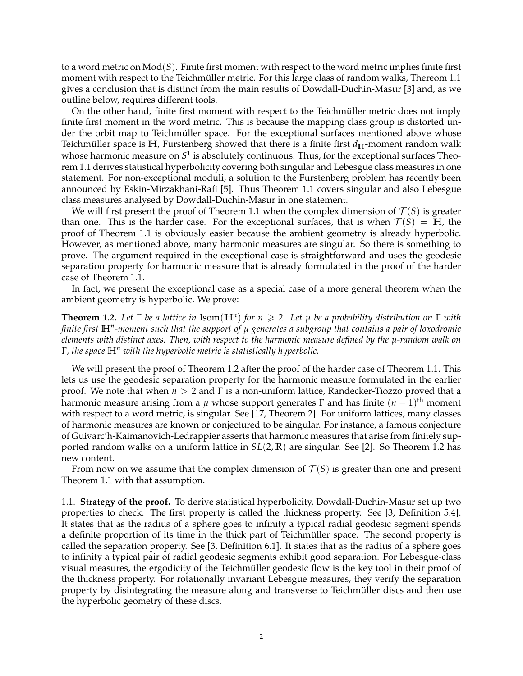to a word metric on Mod(*S*). Finite first moment with respect to the word metric implies finite first moment with respect to the Teichmüller metric. For this large class of random walks, Thereom 1.1 gives a conclusion that is distinct from the main results of Dowdall-Duchin-Masur [3] and, as we outline below, requires different tools.

On the other hand, finite first moment with respect to the Teichmüller metric does not imply finite first moment in the word metric. This is because the mapping class group is distorted under the orbit map to Teichmüller space. For the exceptional surfaces mentioned above whose Teichmüller space is  $H$ , Furstenberg showed that there is a finite first  $d_H$ -moment random walk whose harmonic measure on  $S^1$  is absolutely continuous. Thus, for the exceptional surfaces Theorem 1.1 derives statistical hyperbolicity covering both singular and Lebesgue class measures in one statement. For non-exceptional moduli, a solution to the Furstenberg problem has recently been announced by Eskin-Mirzakhani-Rafi [5]. Thus Theorem 1.1 covers singular and also Lebesgue class measures analysed by Dowdall-Duchin-Masur in one statement.

We will first present the proof of Theorem 1.1 when the complex dimension of  $\mathcal{T}(S)$  is greater than one. This is the harder case. For the exceptional surfaces, that is when  $\mathcal{T}(S) = \mathbb{H}$ , the proof of Theorem 1.1 is obviously easier because the ambient geometry is already hyperbolic. However, as mentioned above, many harmonic measures are singular. So there is something to prove. The argument required in the exceptional case is straightforward and uses the geodesic separation property for harmonic measure that is already formulated in the proof of the harder case of Theorem 1.1.

In fact, we present the exceptional case as a special case of a more general theorem when the ambient geometry is hyperbolic. We prove:

**Theorem 1.2.** *Let* Γ *be a lattice in* Isom(**H***<sup>n</sup>* ) *for n* > 2*. Let µ be a probability distribution on* Γ *with finite first* **H***<sup>n</sup> -moment such that the support of µ generates a subgroup that contains a pair of loxodromic elements with distinct axes. Then, with respect to the harmonic measure defined by the µ-random walk on* Γ*, the space* **H***<sup>n</sup> with the hyperbolic metric is statistically hyperbolic.*

We will present the proof of Theorem 1.2 after the proof of the harder case of Theorem 1.1. This lets us use the geodesic separation property for the harmonic measure formulated in the earlier proof. We note that when *n* > 2 and Γ is a non-uniform lattice, Randecker-Tiozzo proved that a harmonic measure arising from a *µ* whose support generates Γ and has finite (*n* − 1) th moment with respect to a word metric, is singular. See [17, Theorem 2]. For uniform lattices, many classes of harmonic measures are known or conjectured to be singular. For instance, a famous conjecture of Guivarc'h-Kaimanovich-Ledrappier asserts that harmonic measures that arise from finitely supported random walks on a uniform lattice in *SL*(2, **R**) are singular. See [2]. So Theorem 1.2 has new content.

From now on we assume that the complex dimension of  $\mathcal{T}(S)$  is greater than one and present Theorem 1.1 with that assumption.

1.1. **Strategy of the proof.** To derive statistical hyperbolicity, Dowdall-Duchin-Masur set up two properties to check. The first property is called the thickness property. See [3, Definition 5.4]. It states that as the radius of a sphere goes to infinity a typical radial geodesic segment spends a definite proportion of its time in the thick part of Teichmüller space. The second property is called the separation property. See [3, Definition 6.1]. It states that as the radius of a sphere goes to infinity a typical pair of radial geodesic segments exhibit good separation. For Lebesgue-class visual measures, the ergodicity of the Teichmüller geodesic flow is the key tool in their proof of the thickness property. For rotationally invariant Lebesgue measures, they verify the separation property by disintegrating the measure along and transverse to Teichmüller discs and then use the hyperbolic geometry of these discs.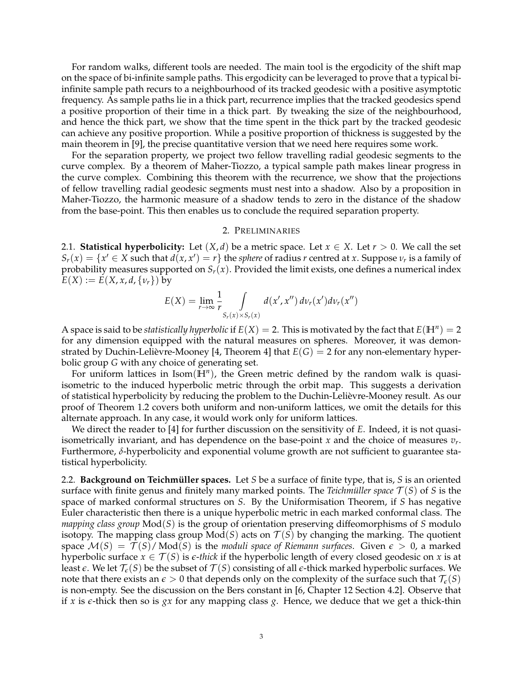For random walks, different tools are needed. The main tool is the ergodicity of the shift map on the space of bi-infinite sample paths. This ergodicity can be leveraged to prove that a typical biinfinite sample path recurs to a neighbourhood of its tracked geodesic with a positive asymptotic frequency. As sample paths lie in a thick part, recurrence implies that the tracked geodesics spend a positive proportion of their time in a thick part. By tweaking the size of the neighbourhood, and hence the thick part, we show that the time spent in the thick part by the tracked geodesic can achieve any positive proportion. While a positive proportion of thickness is suggested by the main theorem in [9], the precise quantitative version that we need here requires some work.

For the separation property, we project two fellow travelling radial geodesic segments to the curve complex. By a theorem of Maher-Tiozzo, a typical sample path makes linear progress in the curve complex. Combining this theorem with the recurrence, we show that the projections of fellow travelling radial geodesic segments must nest into a shadow. Also by a proposition in Maher-Tiozzo, the harmonic measure of a shadow tends to zero in the distance of the shadow from the base-point. This then enables us to conclude the required separation property.

# 2. PRELIMINARIES

2.1. **Statistical hyperbolicity:** Let  $(X, d)$  be a metric space. Let  $x \in X$ . Let  $r > 0$ . We call the set  $S_r(x) = \{x' \in X \text{ such that } d(x, x') = r\}$  the *sphere* of radius *r* centred at *x*. Suppose  $\nu_r$  is a family of probability measures supported on  $S_r(x)$ . Provided the limit exists, one defines a numerical index  $E(X) := E(X, x, d, \{v_r\})$  by

$$
E(X) = \lim_{r \to \infty} \frac{1}{r} \int\limits_{S_r(x) \times S_r(x)} d(x', x'') d\nu_r(x') d\nu_r(x'')
$$

A space is said to be *statistically hyperbolic* if  $E(X) = 2$ . This is motivated by the fact that  $E(\mathbb{H}^n) = 2$ for any dimension equipped with the natural measures on spheres. Moreover, it was demonstrated by Duchin-Lelièvre-Mooney [4, Theorem 4] that  $E(G) = 2$  for any non-elementary hyperbolic group *G* with any choice of generating set.

For uniform lattices in Isom(**H***<sup>n</sup>* ), the Green metric defined by the random walk is quasiisometric to the induced hyperbolic metric through the orbit map. This suggests a derivation of statistical hyperbolicity by reducing the problem to the Duchin-Lelievre-Mooney result. As our ` proof of Theorem 1.2 covers both uniform and non-uniform lattices, we omit the details for this alternate approach. In any case, it would work only for uniform lattices.

We direct the reader to [4] for further discussion on the sensitivity of *E*. Indeed, it is not quasiisometrically invariant, and has dependence on the base-point *x* and the choice of measures *v<sup>r</sup>* . Furthermore, *δ*-hyperbolicity and exponential volume growth are not sufficient to guarantee statistical hyperbolicity.

2.2. **Background on Teichmüller spaces.** Let *S* be a surface of finite type, that is, *S* is an oriented surface with finite genus and finitely many marked points. The *Teichmüller space*  $\mathcal{T}(S)$  of *S* is the space of marked conformal structures on *S*. By the Uniformisation Theorem, if *S* has negative Euler characteristic then there is a unique hyperbolic metric in each marked conformal class. The *mapping class group* Mod(*S*) is the group of orientation preserving diffeomorphisms of *S* modulo isotopy. The mapping class group  $Mod(S)$  acts on  $T(S)$  by changing the marking. The quotient space  $\mathcal{M}(S) = \mathcal{T}(S)/\text{Mod}(S)$  is the *moduli space of Riemann surfaces*. Given  $\epsilon > 0$ , a marked hyperbolic surface  $x \in \mathcal{T}(S)$  is  $\varepsilon$ -*thick* if the hyperbolic length of every closed geodesic on x is at least  $\epsilon$ . We let  $\mathcal{T}_{\epsilon}(S)$  be the subset of  $\mathcal{T}(S)$  consisting of all  $\epsilon$ -thick marked hyperbolic surfaces. We note that there exists an  $\epsilon > 0$  that depends only on the complexity of the surface such that  $\mathcal{T}_{\epsilon}(S)$ is non-empty. See the discussion on the Bers constant in [6, Chapter 12 Section 4.2]. Observe that if *x* is  $\epsilon$ -thick then so is *gx* for any mapping class *g*. Hence, we deduce that we get a thick-thin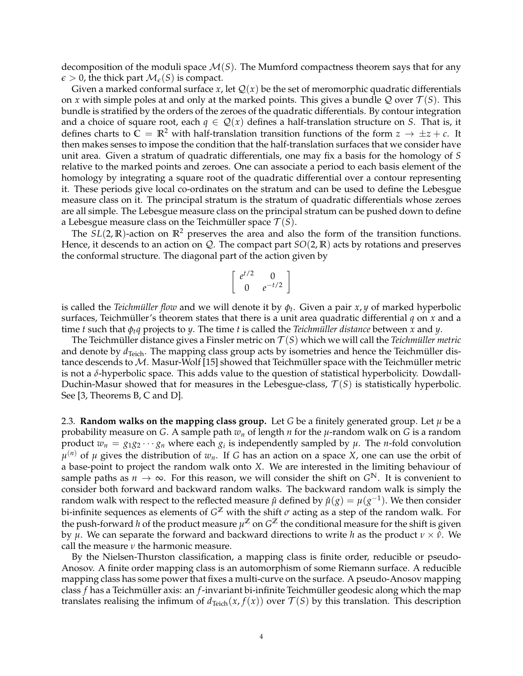decomposition of the moduli space  $\mathcal{M}(S)$ . The Mumford compactness theorem says that for any  $\epsilon > 0$ , the thick part  $\mathcal{M}_{\epsilon}(S)$  is compact.

Given a marked conformal surface  $x$ , let  $Q(x)$  be the set of meromorphic quadratic differentials on *x* with simple poles at and only at the marked points. This gives a bundle Q over  $\mathcal{T}(S)$ . This bundle is stratified by the orders of the zeroes of the quadratic differentials. By contour integration and a choice of square root, each  $q \in \mathcal{Q}(x)$  defines a half-translation structure on *S*. That is, it defines charts to  $\bar{C} = \mathbb{R}^2$  with half-translation transition functions of the form  $z \to \pm z + c$ . It then makes senses to impose the condition that the half-translation surfaces that we consider have unit area. Given a stratum of quadratic differentials, one may fix a basis for the homology of *S* relative to the marked points and zeroes. One can associate a period to each basis element of the homology by integrating a square root of the quadratic differential over a contour representing it. These periods give local co-ordinates on the stratum and can be used to define the Lebesgue measure class on it. The principal stratum is the stratum of quadratic differentials whose zeroes are all simple. The Lebesgue measure class on the principal stratum can be pushed down to define a Lebesgue measure class on the Teichmüller space  $\mathcal{T}(S)$ .

The  $SL(2,\mathbb{R})$ -action on  $\mathbb{R}^2$  preserves the area and also the form of the transition functions. Hence, it descends to an action on Q. The compact part *SO*(2, **R**) acts by rotations and preserves the conformal structure. The diagonal part of the action given by

$$
\left[\begin{array}{cc} e^{t/2} & 0\\ 0 & e^{-t/2} \end{array}\right]
$$

is called the *Teichmüller flow* and we will denote it by  $\phi_t$ . Given a pair *x*, *y* of marked hyperbolic surfaces, Teichmüller's theorem states that there is a unit area quadratic differential  $q$  on  $x$  and a time *t* such that  $\phi_t q$  projects to *y*. The time *t* is called the *Teichmüller distance* between *x* and *y*.

The Teichmüller distance gives a Finsler metric on  $T(S)$  which we will call the *Teichmüller metric* and denote by  $d_{\text{Teich}}$ . The mapping class group acts by isometries and hence the Teichmüller distance descends to  $M$ . Masur-Wolf [15] showed that Teichmüller space with the Teichmüller metric is not a *δ*-hyperbolic space. This adds value to the question of statistical hyperbolicity. Dowdall-Duchin-Masur showed that for measures in the Lebesgue-class,  $\mathcal{T}(S)$  is statistically hyperbolic. See [3, Theorems B, C and D].

2.3. **Random walks on the mapping class group.** Let *G* be a finitely generated group. Let  $\mu$  be a probability measure on *G*. A sample path *w<sup>n</sup>* of length *n* for the *µ*-random walk on *G* is a random product  $w_n = g_1 g_2 \cdots g_n$  where each  $g_i$  is independently sampled by  $\mu$ . The *n*-fold convolution  $\mu^{(n)}$  of  $\mu$  gives the distribution of  $w_n$ . If *G* has an action on a space *X*, one can use the orbit of a base-point to project the random walk onto *X*. We are interested in the limiting behaviour of sample paths as  $n \to \infty$ . For this reason, we will consider the shift on  $G^{\mathbb{N}}$ . It is convenient to consider both forward and backward random walks. The backward random walk is simply the random walk with respect to the reflected measure  $\hat{\mu}$  defined by  $\hat{\mu}(g) = \mu(g^{-1})$ . We then consider bi-infinite sequences as elements of  $G^\mathbb{Z}$  with the shift  $\sigma$  acting as a step of the random walk. For the push-forward  $h$  of the product measure  $\mu^\mathbb{Z}$  on  $G^\mathbb{Z}$  the conditional measure for the shift is given by *μ*. We can separate the forward and backward directions to write *h* as the product  $ν \times ρ$ . We call the measure *ν* the harmonic measure.

By the Nielsen-Thurston classification, a mapping class is finite order, reducible or pseudo-Anosov. A finite order mapping class is an automorphism of some Riemann surface. A reducible mapping class has some power that fixes a multi-curve on the surface. A pseudo-Anosov mapping class *f* has a Teichmüller axis: an *f*-invariant bi-infinite Teichmüller geodesic along which the map translates realising the infimum of  $d_{\text{Teich}}(x, f(x))$  over  $\mathcal{T}(S)$  by this translation. This description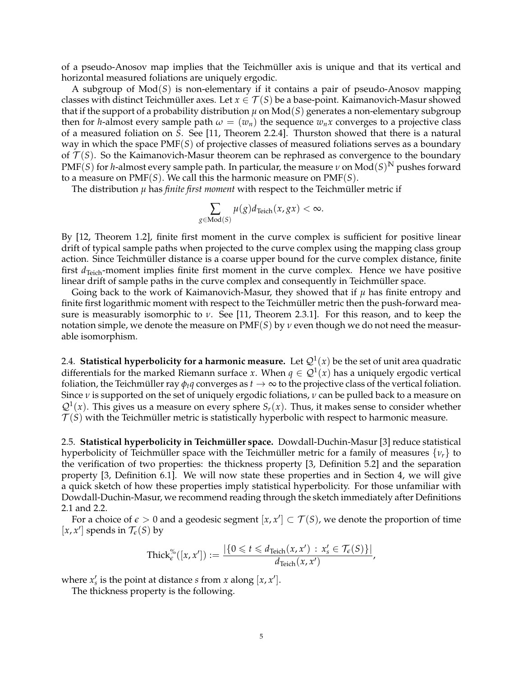of a pseudo-Anosov map implies that the Teichmüller axis is unique and that its vertical and horizontal measured foliations are uniquely ergodic.

A subgroup of Mod(*S*) is non-elementary if it contains a pair of pseudo-Anosov mapping classes with distinct Teichmüller axes. Let  $x \in \mathcal{T}(S)$  be a base-point. Kaimanovich-Masur showed that if the support of a probability distribution  $\mu$  on  $Mod(S)$  generates a non-elementary subgroup then for *h*-almost every sample path  $\omega = (w_n)$  the sequence  $w_n x$  converges to a projective class of a measured foliation on *S*. See [11, Theorem 2.2.4]. Thurston showed that there is a natural way in which the space PMF(*S*) of projective classes of measured foliations serves as a boundary of  $\mathcal{T}(S)$ . So the Kaimanovich-Masur theorem can be rephrased as convergence to the boundary  $\text{PMF}(S)$  for *h-*almost every sample path. In particular, the measure  $\nu$  on  $\text{Mod}(S)^{\mathbb{N}}$  pushes forward to a measure on PMF(*S*). We call this the harmonic measure on PMF(*S*).

The distribution  $\mu$  has *finite first moment* with respect to the Teichmüller metric if

$$
\sum_{g \in \text{Mod}(S)} \mu(g) d_{\text{Teich}}(x, gx) < \infty.
$$

By [12, Theorem 1.2], finite first moment in the curve complex is sufficient for positive linear drift of typical sample paths when projected to the curve complex using the mapping class group action. Since Teichmüller distance is a coarse upper bound for the curve complex distance, finite first  $d_{Teich}$ -moment implies finite first moment in the curve complex. Hence we have positive linear drift of sample paths in the curve complex and consequently in Teichmüller space.

Going back to the work of Kaimanovich-Masur, they showed that if *µ* has finite entropy and finite first logarithmic moment with respect to the Teichmüller metric then the push-forward measure is measurably isomorphic to *ν*. See [11, Theorem 2.3.1]. For this reason, and to keep the notation simple, we denote the measure on PMF(*S*) by *ν* even though we do not need the measurable isomorphism.

2.4.  $\,$  **Statistical hyperbolicity for a harmonic measure.** Let  $\mathcal{Q}^1(x)$  be the set of unit area quadratic differentials for the marked Riemann surface *x*. When  $q \in \mathcal{Q}^1(x)$  has a uniquely ergodic vertical foliation, the Teichmüller ray  $\phi_t q$  converges as  $t \to \infty$  to the projective class of the vertical foliation. Since *ν* is supported on the set of uniquely ergodic foliations, *ν* can be pulled back to a measure on  $Q^{1}(x)$ . This gives us a measure on every sphere  $S_{r}(x)$ . Thus, it makes sense to consider whether  $T(S)$  with the Teichmüller metric is statistically hyperbolic with respect to harmonic measure.

2.5. **Statistical hyperbolicity in Teichmüller space.** Dowdall-Duchin-Masur [3] reduce statistical hyperbolicity of Teichmüller space with the Teichmüller metric for a family of measures  $\{v_r\}$  to the verification of two properties: the thickness property [3, Definition 5.2] and the separation property [3, Definition 6.1]. We will now state these properties and in Section 4, we will give a quick sketch of how these properties imply statistical hyperbolicity. For those unfamiliar with Dowdall-Duchin-Masur, we recommend reading through the sketch immediately after Definitions 2.1 and 2.2.

For a choice of  $\epsilon > 0$  and a geodesic segment  $[x, x'] \subset \mathcal{T}(S)$ , we denote the proportion of time  $[x, x']$  spends in  $\mathcal{T}_{\epsilon}(S)$  by

$$
\operatorname{Thick}_{\epsilon}^{\%}([x,x']) := \frac{|\{0 \leq t \leq d_{\operatorname{Teich}}(x,x') : x'_{s} \in \mathcal{T}_{\epsilon}(S)\}|}{d_{\operatorname{Teich}}(x,x')},
$$

where  $x'_s$  is the point at distance *s* from *x* along  $[x, x']$ .

The thickness property is the following.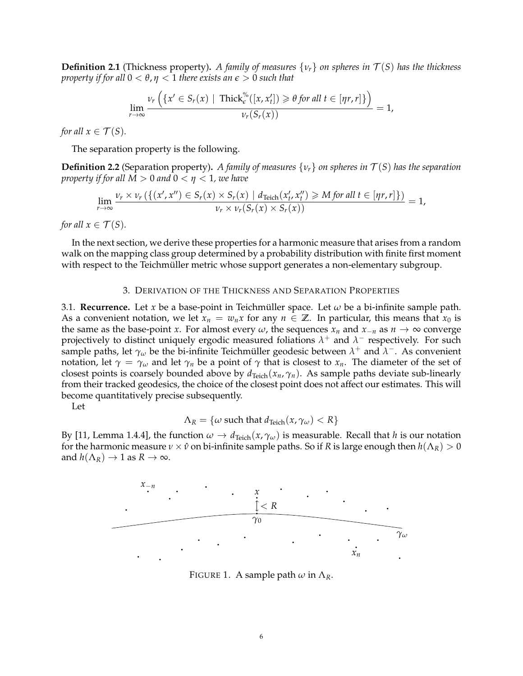**Definition 2.1** (Thickness property). A family of measures  $\{v_r\}$  on spheres in  $\mathcal{T}(S)$  has the thickness *property if for all*  $0 < \theta, \eta < 1$  *there exists an*  $\epsilon > 0$  *such that* 

$$
\lim_{r\to\infty}\frac{\nu_r\left(\left\{x'\in S_r(x)\mid \text{Thick}_\epsilon^{\%}([x,x'_t])\geq \theta \text{ for all } t\in[\eta r,r]\right\}\right)}{\nu_r(S_r(x))}=1,
$$

*for all*  $x \in \mathcal{T}(S)$ *.* 

The separation property is the following.

**Definition 2.2** (Separation property). *A family of measures*  $\{v_r\}$  *on spheres in*  $\mathcal{T}(S)$  *has the separation property if for all*  $M > 0$  *and*  $0 < \eta < 1$ *, we have* 

$$
\lim_{r\to\infty}\frac{\nu_r\times\nu_r(\{(x',x'')\in S_r(x)\times S_r(x)\mid d_{\text{Teich}}(x'_t,x''_t)\geq M \text{ for all }t\in[\eta r,r]\})}{\nu_r\times\nu_r(S_r(x)\times S_r(x))}=1,
$$

*for all*  $x \in \mathcal{T}(S)$ *.* 

In the next section, we derive these properties for a harmonic measure that arises from a random walk on the mapping class group determined by a probability distribution with finite first moment with respect to the Teichmüller metric whose support generates a non-elementary subgroup.

## 3. DERIVATION OF THE THICKNESS AND SEPARATION PROPERTIES

3.1. **Recurrence.** Let *x* be a base-point in Teichmüller space. Let  $\omega$  be a bi-infinite sample path. As a convenient notation, we let  $x_n = w_n x$  for any  $n \in \mathbb{Z}$ . In particular, this means that  $x_0$  is the same as the base-point *x*. For almost every  $\omega$ , the sequences  $x_n$  and  $x_{-n}$  as  $n \to \infty$  converge projectively to distinct uniquely ergodic measured foliations *λ* <sup>+</sup> and *λ* <sup>−</sup> respectively. For such sample paths, let  $\gamma_\omega$  be the bi-infinite Teichmüller geodesic between  $\lambda^+$  and  $\lambda^-$ . As convenient notation, let  $\gamma = \gamma_\omega$  and let  $\gamma_n$  be a point of  $\gamma$  that is closest to  $x_n$ . The diameter of the set of closest points is coarsely bounded above by  $d_{\text{Teich}}(x_n, \gamma_n)$ . As sample paths deviate sub-linearly from their tracked geodesics, the choice of the closest point does not affect our estimates. This will become quantitatively precise subsequently.

Let

$$
\Lambda_R = \{ \omega \text{ such that } d_{\text{Teich}}(x, \gamma_\omega) < R \}
$$

By [11, Lemma 1.4.4], the function  $\omega \to d_{\text{Teich}}(x, \gamma_\omega)$  is measurable. Recall that *h* is our notation for the harmonic measure  $\nu \times \hat{\nu}$  on bi-infinite sample paths. So if *R* is large enough then  $h(\Lambda_R) > 0$ and  $h(\Lambda_R) \to 1$  as  $R \to \infty$ .



FIGURE 1. A sample path  $\omega$  in  $\Lambda_R$ .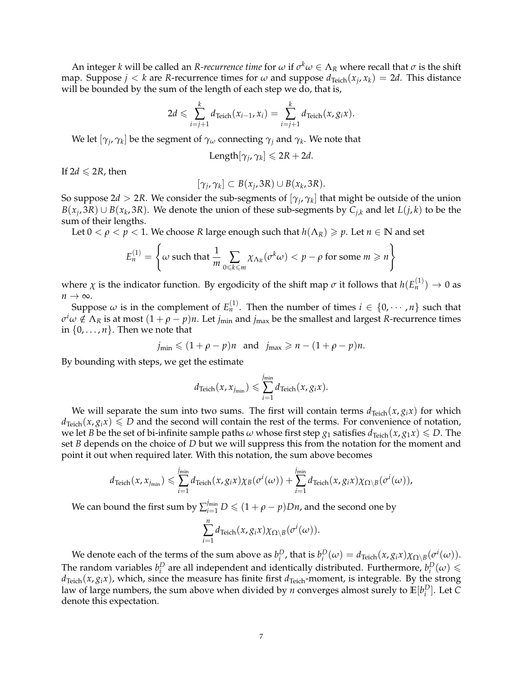An integer *k* will be called an *R-recurrence time* for  $\omega$  if  $\sigma^k\omega \in \Lambda_R$  where recall that  $\sigma$  is the shift map. Suppose  $j < k$  are *R*-recurrence times for  $\omega$  and suppose  $d_{\text{Teich}}(x_j, x_k) = 2d$ . This distance will be bounded by the sum of the length of each step we do, that is,

$$
2d \leqslant \sum_{i=j+1}^k d_{\text{Teich}}(x_{i-1}, x_i) = \sum_{i=j+1}^k d_{\text{Teich}}(x, g_i x).
$$

We let  $[\gamma_j,\gamma_k]$  be the segment of  $\gamma_\omega$  connecting  $\gamma_j$  and  $\gamma_k$ . We note that

$$
Length[\gamma_j, \gamma_k] \leq 2R + 2d.
$$

If  $2d \leqslant 2R$ , then

$$
[\gamma_j, \gamma_k] \subset B(x_j, 3R) \cup B(x_k, 3R).
$$

So suppose 2 $d > 2R$ . We consider the sub-segments of  $[\gamma_j,\gamma_k]$  that might be outside of the union *B*(*x*<sub>*j*</sub>, 3*R*) ∪ *B*(*x*<sub>*k*</sub>, 3*R*). We denote the union of these sub-segments by *C*<sub>*j*,*k*</sub> and let *L*(*j*, *k*) to be the sum of their lengths.

Let  $0 < \rho < p < 1$ . We choose *R* large enough such that  $h(\Lambda_R) \geq p$ . Let  $n \in \mathbb{N}$  and set

$$
E_n^{(1)} = \left\{ \omega \text{ such that } \frac{1}{m} \sum_{0 \le k \le m} \chi_{\Lambda_R}(\sigma^k \omega) < p - \rho \text{ for some } m \ge n \right\}
$$

where  $\chi$  is the indicator function. By ergodicity of the shift map  $\sigma$  it follows that  $h(E_n^{(1)}) \to 0$  as *n* → ∞.

Suppose  $\omega$  is in the complement of  $E_n^{(1)}$ . Then the number of times  $i \in \{0, \cdots, n\}$  such that  $\sigma^i\omega\notin\Lambda_R$  is at most  $(1+\rho-p)n$ . Let  $j_{\min}$  and  $j_{\max}$  be the smallest and largest *R*-recurrence times in  $\{0, \ldots, n\}$ . Then we note that

$$
j_{\min} \leq (1+\rho-p)n
$$
 and  $j_{\max} \geq n-(1+\rho-p)n$ .

By bounding with steps, we get the estimate

$$
d_{\text{Teich}}(x, x_{j_{\min}}) \leq \sum_{i=1}^{j_{\min}} d_{\text{Teich}}(x, g_i x).
$$

We will separate the sum into two sums. The first will contain terms  $d_{Teich}(x, g_i x)$  for which  $d_{Teich}(x, g_i x) \le D$  and the second will contain the rest of the terms. For convenience of notation, we let *B* be the set of bi-infinite sample paths  $\omega$  whose first step  $g_1$  satisfies  $d_{\text{Teich}}(x, g_1 x) \le D$ . The set *B* depends on the choice of *D* but we will suppress this from the notation for the moment and point it out when required later. With this notation, the sum above becomes

$$
d_{\text{Teich}}(x, x_{j_{\min}}) \leqslant \sum_{i=1}^{j_{\min}} d_{\text{Teich}}(x, g_i x) \chi_B(\sigma^i(\omega)) + \sum_{i=1}^{j_{\min}} d_{\text{Teich}}(x, g_i x) \chi_{\Omega \setminus B}(\sigma^i(\omega)),
$$

We can bound the first sum by  $\sum_{i=1}^{j_{\text{min}}} D \leqslant (1+\rho-p)Dn$ , and the second one by

$$
\sum_{i=1}^n d_{\text{Teich}}(x, g_i x) \chi_{\Omega \setminus B}(\sigma^i(\omega)).
$$

We denote each of the terms of the sum above as  $b_i^D$ , that is  $b_i^D(\omega) = d_{\text{Teich}}(x, g_i x) \chi_{\Omega \setminus B}(\sigma^i(\omega)).$ The random variables  $b_i^D$  are all independent and identically distributed. Furthermore,  $b_i^D(\omega) \leq$  $d_{Teich}(x, g_i x)$ , which, since the measure has finite first  $d_{Teich}$ -moment, is integrable. By the strong law of large numbers, the sum above when divided by  $n$  converges almost surely to  $\mathbb{E}[b_i^D].$  Let  $C$ denote this expectation.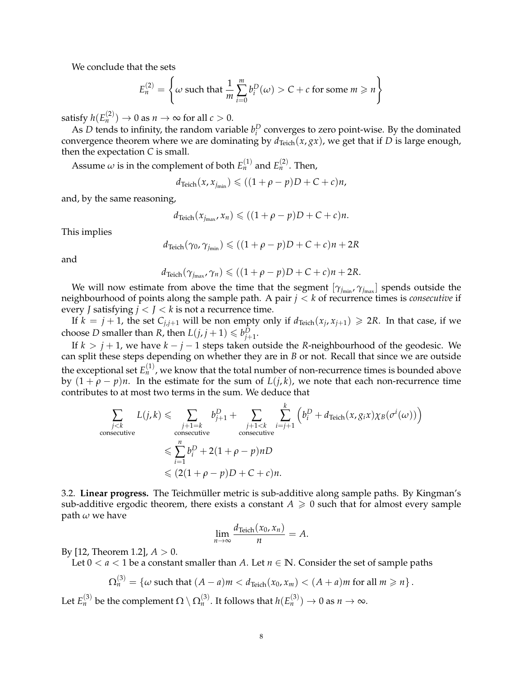We conclude that the sets

$$
E_n^{(2)} = \left\{ \omega \text{ such that } \frac{1}{m} \sum_{i=0}^m b_i^D(\omega) > C + c \text{ for some } m \ge n \right\}
$$

satisfy  $h(E_n^{(2)}) \to 0$  as  $n \to \infty$  for all  $c > 0.$ 

As *D* tends to infinity, the random variable  $b_i^D$  converges to zero point-wise. By the dominated convergence theorem where we are dominating by  $d_{Teich}(x, gx)$ , we get that if *D* is large enough, then the expectation *C* is small.

Assume  $\omega$  is in the complement of both  $E_n^{(1)}$  and  $E_n^{(2)}$ . Then,

$$
d_{\text{Teich}}(x, x_{j_{\min}}) \leqslant ((1+\rho-p)D+C+c)n,
$$

and, by the same reasoning,

$$
d_{\text{Teich}}(x_{j_{\max}}, x_n) \leqslant ((1+\rho-p)D+C+c)n.
$$

This implies

$$
d_{\text{Teich}}(\gamma_0, \gamma_{j_{\text{min}}}) \leqslant ((1+\rho-p)D+C+c)n+2R
$$

and

$$
d_{\text{Teich}}(\gamma_{j_{\text{max}}}, \gamma_n) \leqslant ((1+\rho-p)D+C+c)n+2R.
$$

We will now estimate from above the time that the segment  $[\gamma_{j_{\min}}, \gamma_{j_{\max}}]$  spends outside the neighbourhood of points along the sample path. A pair *j* < *k* of recurrence times is *consecutive* if every *J* satisfying  $j < J < k$  is not a recurrence time.

If  $k = j + 1$ , the set  $C_{j,j+1}$  will be non empty only if  $d_{Teich}(x_j, x_{j+1}) \ge 2R$ . In that case, if we choose *D* smaller than *R*, then  $L(j, j + 1) \leq b_{j+1}^D$ .

If  $k > j + 1$ , we have  $k - j - 1$  steps taken outside the *R*-neighbourhood of the geodesic. We can split these steps depending on whether they are in *B* or not. Recall that since we are outside the exceptional set  $E_n^{(1)}$ , we know that the total number of non-recurrence times is bounded above by  $(1 + \rho - p)n$ . In the estimate for the sum of  $L(j,k)$ , we note that each non-recurrence time contributes to at most two terms in the sum. We deduce that

$$
\sum_{\substack{j < k \\ \text{consecutive}}} L(j,k) \leqslant \sum_{\substack{j+1=k \\ \text{consecutive}}} b_{j+1}^D + \sum_{\substack{j+1 < k \\ \text{consecutive}}} \sum_{i=j+1}^k \left( b_i^D + d_{\text{Teich}}(x, g_i x) \chi_B(\sigma^i(\omega)) \right)
$$
\n
$$
\leqslant \sum_{i=1}^n b_i^D + 2(1 + \rho - p)nD
$$
\n
$$
\leqslant (2(1 + \rho - p)D + C + c)n.
$$

3.2. **Linear progress.** The Teichmüller metric is sub-additive along sample paths. By Kingman's sub-additive ergodic theorem, there exists a constant  $A \geq 0$  such that for almost every sample path *ω* we have

$$
\lim_{n\to\infty}\frac{d_{\text{Teich}}(x_0,x_n)}{n}=A.
$$

By [12, Theorem 1.2],  $A > 0$ .

Let  $0 < a < 1$  be a constant smaller than A. Let  $n \in \mathbb{N}$ . Consider the set of sample paths

$$
\Omega_n^{(3)} = \{ \omega \text{ such that } (A - a)m < d_{\text{Teich}}(x_0, x_m) < (A + a)m \text{ for all } m \geq n \} \, .
$$

Let  $E_n^{(3)}$  be the complement  $\Omega \setminus \Omega_n^{(3)}.$  It follows that  $h(E_n^{(3)}) \to 0$  as  $n \to \infty.$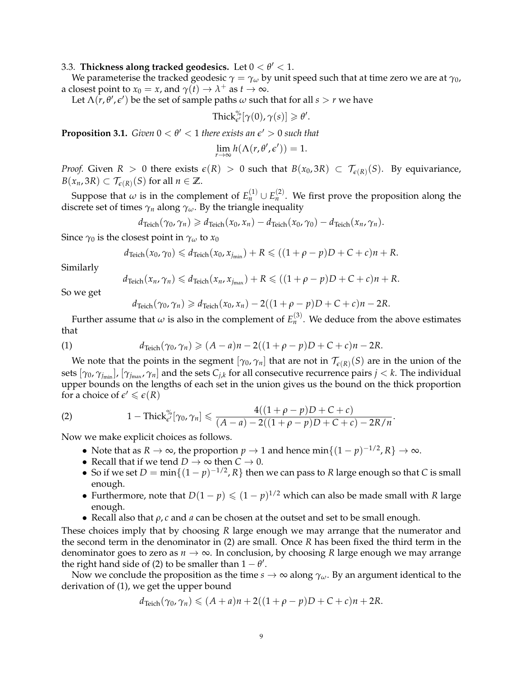# 3.3. **Thickness along tracked geodesics.** Let  $0 < \theta' < 1$ .

We parameterise the tracked geodesic  $\gamma = \gamma_\omega$  by unit speed such that at time zero we are at  $\gamma_0$ , a closest point to  $x_0 = x$ , and  $\gamma(t) \to \lambda^+$  as  $t \to \infty$ .

Let  $\Lambda(r, \theta', \epsilon')$  be the set of sample paths  $\omega$  such that for all  $s > r$  we have

$$
\text{Thick}_{\epsilon'}^{\%}[\gamma(0), \gamma(s)] \geq \theta'
$$

.

**Proposition 3.1.** *Given*  $0 < \theta' < 1$  *there exists an*  $\epsilon' > 0$  *such that* 

$$
\lim_{r \to \infty} h(\Lambda(r, \theta', \epsilon')) = 1.
$$

*Proof.* Given  $R > 0$  there exists  $\epsilon(R) > 0$  such that  $B(x_0, 3R) \subset \mathcal{T}_{\epsilon(R)}(S)$ . By equivariance,  $B(x_n, 3R) \subset \mathcal{T}_{\epsilon(R)}(S)$  for all  $n \in \mathbb{Z}$ .

Suppose that  $\omega$  is in the complement of  $E_n^{(1)} \cup E_n^{(2)}$ . We first prove the proposition along the discrete set of times  $\gamma_n$  along  $\gamma_\omega$ . By the triangle inequality

$$
d_{\text{Teich}}(\gamma_0, \gamma_n) \geq d_{\text{Teich}}(x_0, x_n) - d_{\text{Teich}}(x_0, \gamma_0) - d_{\text{Teich}}(x_n, \gamma_n).
$$

Since  $\gamma_0$  is the closest point in  $\gamma_\omega$  to  $x_0$ 

$$
d_{\text{Teich}}(x_0, \gamma_0) \leq d_{\text{Teich}}(x_0, x_{j_{\min}}) + R \leq ( (1 + \rho - p)D + C + c)n + R.
$$

Similarly

$$
d_{\text{Teich}}(x_n, \gamma_n) \leq d_{\text{Teich}}(x_n, x_{j_{\text{max}}}) + R \leq ( (1 + \rho - p)D + C + c)n + R.
$$

So we get

$$
d_{\text{Teich}}(\gamma_0, \gamma_n) \geq d_{\text{Teich}}(x_0, x_n) - 2((1+\rho-p)D + C + c)n - 2R.
$$

Further assume that  $\omega$  is also in the complement of  $E_n^{(3)}$ . We deduce from the above estimates that

(1) 
$$
d_{\text{Teich}}(\gamma_0, \gamma_n) \geq (A - a)n - 2((1 + \rho - p)D + C + c)n - 2R.
$$

We note that the points in the segment  $[\gamma_0, \gamma_n]$  that are not in  $\mathcal{T}_{\epsilon(R)}(S)$  are in the union of the sets  $[\gamma_0,\gamma_{j_{\min}}]$ ,  $[\gamma_{j_{\max}},\gamma_n]$  and the sets  $C_{j,k}$  for all consecutive recurrence pairs  $j < k.$  The individual upper bounds on the lengths of each set in the union gives us the bound on the thick proportion for a choice of  $\epsilon' \leq \epsilon(R)$ 

(2) 
$$
1 - \text{Thick}_{\epsilon'}^{\%}[\gamma_0, \gamma_n] \leq \frac{4((1+\rho-p)D+C+c)}{(A-a)-2((1+\rho-p)D+C+c)-2R/n}.
$$

Now we make explicit choices as follows.

- Note that as  $R \to \infty$ , the proportion  $p \to 1$  and hence  $\min\{(1-p)^{-1/2}, R\} \to \infty$ .
- Recall that if we tend  $D \to \infty$  then  $C \to 0$ .
- So if we set  $D = \min\{(1-p)^{-1/2}, R\}$  then we can pass to R large enough so that *C* is small enough.
- Furthermore, note that  $D(1 p) \le (1 p)^{1/2}$  which can also be made small with *R* large enough.
- Recall also that *ρ*, *c* and *a* can be chosen at the outset and set to be small enough.

These choices imply that by choosing *R* large enough we may arrange that the numerator and the second term in the denominator in (2) are small. Once *R* has been fixed the third term in the denominator goes to zero as  $n \to \infty$ . In conclusion, by choosing *R* large enough we may arrange the right hand side of (2) to be smaller than  $1 - \theta'$ .

Now we conclude the proposition as the time  $s \to \infty$  along  $\gamma_\omega$ . By an argument identical to the derivation of (1), we get the upper bound

$$
d_{\text{Teich}}(\gamma_0, \gamma_n) \leq (A+a)n + 2((1+\rho-p)D+C+c)n + 2R.
$$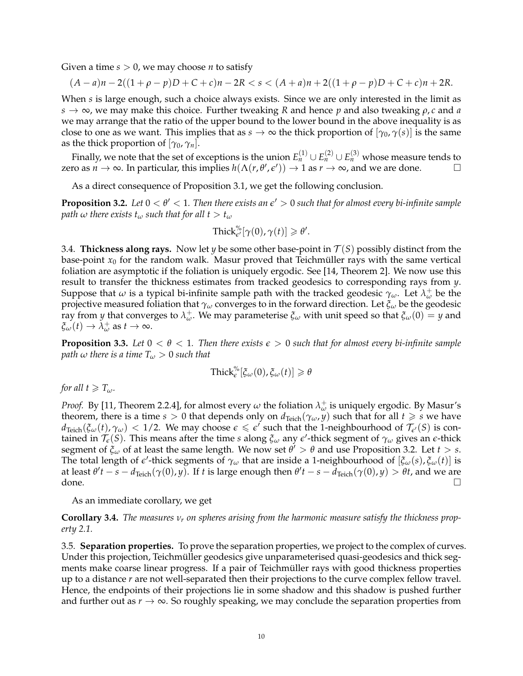Given a time  $s > 0$ , we may choose *n* to satisfy

$$
(A-a)n-2((1+\rho-p)D+C+c)n-2R < s < (A+a)n+2((1+\rho-p)D+C+c)n+2R.
$$

When *s* is large enough, such a choice always exists. Since we are only interested in the limit as  $s \to \infty$ , we may make this choice. Further tweaking *R* and hence *p* and also tweaking  $\rho$ , *c* and *a* we may arrange that the ratio of the upper bound to the lower bound in the above inequality is as close to one as we want. This implies that as  $s \to \infty$  the thick proportion of  $[\gamma_0, \gamma(s)]$  is the same as the thick proportion of  $[\gamma_0, \gamma_n]$ .

Finally, we note that the set of exceptions is the union  $E_n^{(1)} \cup E_n^{(2)} \cup E_n^{(3)}$  whose measure tends to zero as  $n \to \infty$ . In particular, this implies  $h(\Lambda(r, \theta', \epsilon')) \to 1$  as  $r \to \infty$ , and we are done.

As a direct consequence of Proposition 3.1, we get the following conclusion.

**Proposition 3.2.** Let  $0 < \theta' < 1$ . Then there exists an  $\epsilon' > 0$  such that for almost every bi-infinite sample *path*  $\omega$  *there exists*  $t_{\omega}$  *such that for all*  $t > t_{\omega}$ 

$$
\text{Thick}_{\epsilon'}^{\%}[\gamma(0), \gamma(t)] \geq \theta'.
$$

3.4. **Thickness along rays.** Now let *y* be some other base-point in  $\mathcal{T}(S)$  possibly distinct from the base-point  $x_0$  for the random walk. Masur proved that Teichmüller rays with the same vertical foliation are asymptotic if the foliation is uniquely ergodic. See [14, Theorem 2]. We now use this result to transfer the thickness estimates from tracked geodesics to corresponding rays from *y*. Suppose that  $\omega$  is a typical bi-infinite sample path with the tracked geodesic  $\gamma_\omega$ . Let  $\lambda^+_\omega$  be the projective measured foliation that *γ<sup>ω</sup>* converges to in the forward direction. Let *ξ<sup>ω</sup>* be the geodesic *ray* from *y* that converges to  $λ_w^+$ . We may parameterise  $ξ_w$  with unit speed so that  $ξ_w(0) = y$  and  $\xi_{\omega}(t) \rightarrow \tilde{\lambda}_{\omega}^{+}$  as  $t \rightarrow \infty$ .

**Proposition 3.3.** Let  $0 < \theta < 1$ . Then there exists  $\epsilon > 0$  such that for almost every bi-infinite sample *path*  $\omega$  *there is a time*  $T_{\omega} > 0$  *such that* 

$$
\text{Thick}_{\epsilon}^{\%}[\xi_{\omega}(0), \xi_{\omega}(t)] \geq \theta
$$

*for all*  $t \geqslant T_\omega$ *.* 

*Proof.* By [11, Theorem 2.2.4], for almost every  $\omega$  the foliation  $\lambda^{\pm}_{\omega}$  is uniquely ergodic. By Masur's theorem, there is a time  $s > 0$  that depends only on  $d_{Teich}(\gamma_\omega, y)$  such that for all  $t \geq s$  we have  $d_{\text{Teich}}(\xi_\omega(t), \gamma_\omega)$  < 1/2. We may choose  $\epsilon \leq \epsilon'$  such that the 1-neighbourhood of  $\mathcal{T}_{\epsilon'}(S)$  is contained in  $\mathcal{T}_{\epsilon}(S)$ . This means after the time *s* along  $\xi_{\omega}$  any  $\epsilon'$ -thick segment of  $\gamma_{\omega}$  gives an  $\epsilon$ -thick segment of  $\zeta_\omega$  of at least the same length. We now set  $\theta' > \theta$  and use Proposition 3.2. Let  $t > s$ . The total length of  $\epsilon'$ -thick segments of  $\gamma_\omega$  that are inside a 1-neighbourhood of  $[\xi_\omega(s), \xi_\omega(t)]$  is at least  $\theta' t - s - d_{Teich}(\gamma(0), y)$ . If *t* is large enough then  $\theta' t - s - d_{Teich}(\gamma(0), y) > \theta t$ , and we are done.  $\Box$ 

As an immediate corollary, we get

**Corollary 3.4.** *The measures ν<sup>r</sup> on spheres arising from the harmonic measure satisfy the thickness property 2.1.*

3.5. **Separation properties.** To prove the separation properties, we project to the complex of curves. Under this projection, Teichmüller geodesics give unparameterised quasi-geodesics and thick segments make coarse linear progress. If a pair of Teichmüller rays with good thickness properties up to a distance *r* are not well-separated then their projections to the curve complex fellow travel. Hence, the endpoints of their projections lie in some shadow and this shadow is pushed further and further out as  $r \to \infty$ . So roughly speaking, we may conclude the separation properties from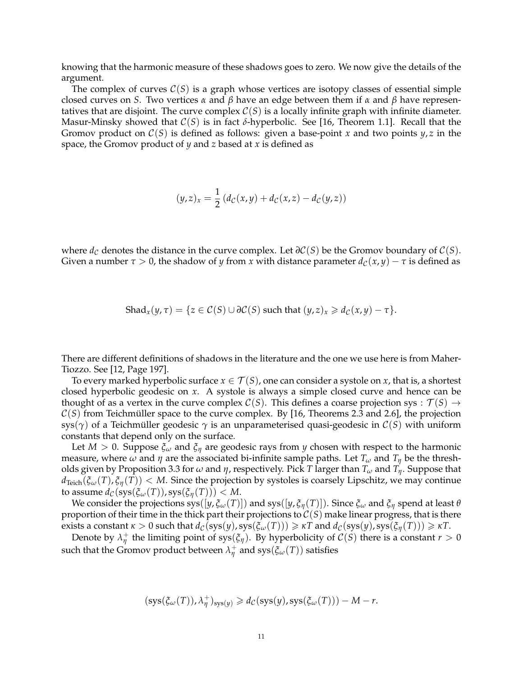knowing that the harmonic measure of these shadows goes to zero. We now give the details of the argument.

The complex of curves  $C(S)$  is a graph whose vertices are isotopy classes of essential simple closed curves on *S*. Two vertices *α* and *β* have an edge between them if *α* and *β* have representatives that are disjoint. The curve complex  $C(S)$  is a locally infinite graph with infinite diameter. Masur-Minsky showed that C(*S*) is in fact *δ*-hyperbolic. See [16, Theorem 1.1]. Recall that the Gromov product on C(*S*) is defined as follows: given a base-point *x* and two points *y*, *z* in the space, the Gromov product of *y* and *z* based at *x* is defined as

$$
(y,z)_x = \frac{1}{2} \left( d_{\mathcal{C}}(x,y) + d_{\mathcal{C}}(x,z) - d_{\mathcal{C}}(y,z) \right)
$$

where  $d_{\mathcal{C}}$  denotes the distance in the curve complex. Let  $\partial \mathcal{C}(S)$  be the Gromov boundary of  $\mathcal{C}(S)$ . Given a number  $\tau > 0$ , the shadow of *y* from *x* with distance parameter  $d_{\mathcal{C}}(x, y) - \tau$  is defined as

$$
Shad_x(y,\tau) = \{ z \in C(S) \cup \partial C(S) \text{ such that } (y,z)_x \geq d_C(x,y) - \tau \}.
$$

There are different definitions of shadows in the literature and the one we use here is from Maher-Tiozzo. See [12, Page 197].

To every marked hyperbolic surface  $x \in \mathcal{T}(S)$ , one can consider a systole on *x*, that is, a shortest closed hyperbolic geodesic on *x*. A systole is always a simple closed curve and hence can be thought of as a vertex in the curve complex  $C(S)$ . This defines a coarse projection sys :  $\mathcal{T}(S) \rightarrow$  $C(S)$  from Teichmüller space to the curve complex. By [16, Theorems 2.3 and 2.6], the projection sys( $\gamma$ ) of a Teichmüller geodesic  $\gamma$  is an unparameterised quasi-geodesic in  $\mathcal{C}(S)$  with uniform constants that depend only on the surface.

Let *M* > 0. Suppose *ξ<sup>ω</sup>* and *ξ<sup>η</sup>* are geodesic rays from *y* chosen with respect to the harmonic measure, where  $\omega$  and  $\eta$  are the associated bi-infinite sample paths. Let  $T_{\omega}$  and  $T_{\eta}$  be the thresholds given by Proposition 3.3 for *ω* and *η*, respectively. Pick *T* larger than *T<sup>ω</sup>* and *Tη*. Suppose that  $d_{Teich}(\xi_\omega(T), \xi_\eta(T)) < M$ . Since the projection by systoles is coarsely Lipschitz, we may continue  $\text{to assume } d_{\mathcal{C}}(\text{sys}(\xi_{\omega}(T)), \text{sys}(\xi_{\eta}(T))) < M.$ 

We consider the projections  $sys([y, \xi_\omega(T)])$  and  $sys([y, \xi_\eta(T)])$ . Since  $\xi_\omega$  and  $\xi_\eta$  spend at least  $\theta$ proportion of their time in the thick part their projections to  $C(S)$  make linear progress, that is there exists a constant  $\kappa > 0$  such that  $d_{\mathcal{C}}(\text{sys}(y), \text{sys}(\xi_{\omega}(T))) \geq \kappa T$  and  $d_{\mathcal{C}}(\text{sys}(y), \text{sys}(\xi_{\eta}(T))) \geq \kappa T$ .

Denote by  $\lambda^+_\eta$  the limiting point of sys( $\xi_\eta$ ). By hyperbolicity of  $\mathcal{C}(S)$  there is a constant  $r > 0$ such that the Gromov product between  $\lambda_{\eta}^+$  and  $sys(\xi_\omega(T))$  satisfies

$$
(\mathop{\rm sys}\nolimits(\xi_\omega(T)),\lambda_\eta^+)_{\mathop{\rm sys}\nolimits(y)} \geqslant d_{\mathcal{C}}(\mathop{\rm sys}\nolimits(y),\mathop{\rm sys}\nolimits(\xi_\omega(T)))-M-r.
$$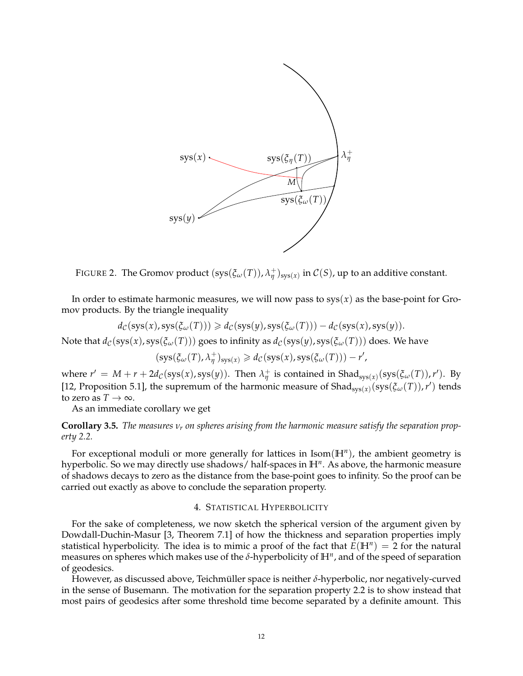

FIGURE 2. The Gromov product  $(sys(\xi_{\omega}(T)), \lambda_{\eta}^+)_{sys(x)}$  in  $C(S)$ , up to an additive constant.

In order to estimate harmonic measures, we will now pass to  $sys(x)$  as the base-point for Gromov products. By the triangle inequality

$$
d_{\mathcal{C}}(\mathsf{sys}(x),\mathsf{sys}(\xi_{\omega}(T))) \geq d_{\mathcal{C}}(\mathsf{sys}(y),\mathsf{sys}(\xi_{\omega}(T))) - d_{\mathcal{C}}(\mathsf{sys}(x),\mathsf{sys}(y)).
$$

Note that  $d_{\mathcal{C}}(sys(x), sys(\xi_{\omega}(T)))$  goes to infinity as  $d_{\mathcal{C}}(sys(y), sys(\xi_{\omega}(T)))$  does. We have

(sys(*ξω*(*T*), *λ* +  $\frac{1}{\eta}$ )<sub>sys(*x*)</sub>  $\geq d_{\mathcal{C}}(\mathrm{sys}(x), \mathrm{sys}(\xi_{\omega}(T))) - r'$ ,

where  $r' = M + r + 2d_c(sys(x), sys(y))$ . Then  $\lambda^+_{\eta}$  is contained in Shad<sub>sys(*x*)</sub>(sys( $\xi_{\omega}(T)$ ), *r'*). By [12, Proposition 5.1], the supremum of the harmonic measure of Shad<sub>sys(x)</sub>(sys( $\xi_{\omega}(T)$ ), r') tends to zero as  $T \to \infty$ .

As an immediate corollary we get

**Corollary 3.5.** *The measures ν<sup>r</sup> on spheres arising from the harmonic measure satisfy the separation property 2.2.*

For exceptional moduli or more generally for lattices in Isom(**H***<sup>n</sup>* ), the ambient geometry is hyperbolic. So we may directly use shadows/ half-spaces in **H***<sup>n</sup>* . As above, the harmonic measure of shadows decays to zero as the distance from the base-point goes to infinity. So the proof can be carried out exactly as above to conclude the separation property.

# 4. STATISTICAL HYPERBOLICITY

For the sake of completeness, we now sketch the spherical version of the argument given by Dowdall-Duchin-Masur [3, Theorem 7.1] of how the thickness and separation properties imply statistical hyperbolicity. The idea is to mimic a proof of the fact that  $\bar{E}(\mathbb{H}^n) = 2$  for the natural measures on spheres which makes use of the *δ*-hyperbolicity of **H***<sup>n</sup>* , and of the speed of separation of geodesics.

However, as discussed above, Teichmüller space is neither δ-hyperbolic, nor negatively-curved in the sense of Busemann. The motivation for the separation property 2.2 is to show instead that most pairs of geodesics after some threshold time become separated by a definite amount. This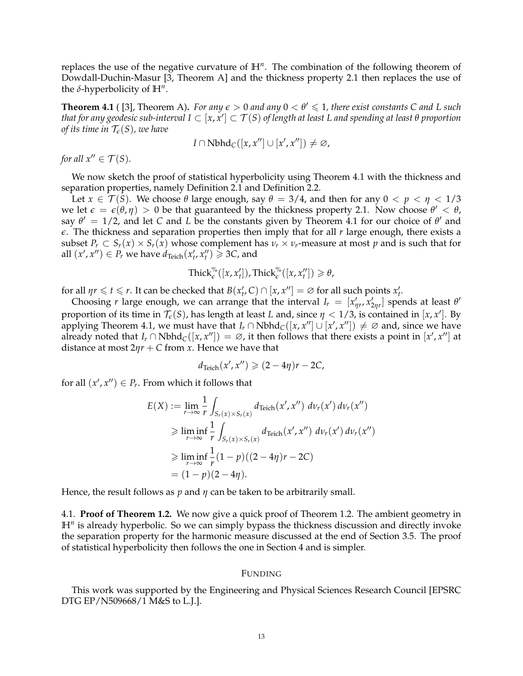replaces the use of the negative curvature of **H***<sup>n</sup>* . The combination of the following theorem of Dowdall-Duchin-Masur [3, Theorem A] and the thickness property 2.1 then replaces the use of the  $\delta$ -hyperbolicity of  $\mathbb{H}^n$ .

**Theorem 4.1** ( [3], Theorem A). For any  $\epsilon > 0$  and any  $0 < \theta' \leq 1$ , there exist constants C and L such that for any geodesic sub-interval I  $\subset$   $[x,x']$   $\subset$   $\mathcal{T}(S)$  of length at least L and spending at least  $\theta$  proportion *of its time in*  $\mathcal{T}_{\epsilon}(S)$ *, we have* 

$$
I \cap \text{Nbhd}_{\mathcal{C}}([x, x''] \cup [x', x'']) \neq \varnothing,
$$

*for all*  $x'' \in \mathcal{T}(S)$ *.* 

We now sketch the proof of statistical hyperbolicity using Theorem 4.1 with the thickness and separation properties, namely Definition 2.1 and Definition 2.2.

Let  $x \in \mathcal{T}(S)$ . We choose  $\theta$  large enough, say  $\theta = 3/4$ , and then for any  $0 \lt p \lt \eta \lt 1/3$ we let  $\epsilon = \epsilon(\theta, \eta) > 0$  be that guaranteed by the thickness property 2.1. Now choose  $\theta' < \theta$ , say  $\theta' = 1/2$ , and let *C* and *L* be the constants given by Theorem 4.1 for our choice of  $\theta'$  and *e*. The thickness and separation properties then imply that for all *r* large enough, there exists a subset  $P_r \subset S_r(x) \times S_r(x)$  whose complement has  $\nu_r \times \nu_r$ -measure at most p and is such that for all  $(x', x'') \in P_r$  we have  $d_{\text{Teich}}(x'_t, x''_t) \geq 3C$ , and

$$
\operatorname{Thick}_{\epsilon}^{\%}([x, x'_{t}]), \operatorname{Thick}_{\epsilon}^{\%}([x, x''_{t}]) \geq \theta,
$$

for all  $\eta r \leq t \leq r$ . It can be checked that  $B(x'_t, C) \cap [x, x''] = \emptyset$  for all such points  $x'_t$ .

Choosing *r* large enough, we can arrange that the interval  $I_r = [x'_{\eta r}, x'_{2\eta r}]$  spends at least  $\theta'$ proportion of its time in  $\mathcal{T}_{\epsilon}(S)$ , has length at least *L* and, since  $\eta < 1/3$ , is contained in [*x*, *x*']. By applying Theorem 4.1, we must have that  $I_r \cap \text{Nbhd}_C([x, x''] \cup [x', x'']) \neq \emptyset$  and, since we have already noted that  $I_r \cap \text{Nbhd}_C([x, x'']) = \emptyset$ , it then follows that there exists a point in  $[x', x'']$  at distance at most  $2\eta r + C$  from *x*. Hence we have that

$$
d_{\text{Teich}}(x', x'') \geqslant (2 - 4\eta)r - 2C,
$$

for all  $(x', x'') \in P_r$ . From which it follows that

$$
E(X) := \lim_{r \to \infty} \frac{1}{r} \int_{S_r(x) \times S_r(x)} d_{\text{Teich}}(x', x'') d\nu_r(x') d\nu_r(x'')
$$
  
\n
$$
\geq \liminf_{r \to \infty} \frac{1}{r} \int_{S_r(x) \times S_r(x)} d_{\text{Teich}}(x', x'') d\nu_r(x') d\nu_r(x'')
$$
  
\n
$$
\geq \liminf_{r \to \infty} \frac{1}{r} (1 - p)((2 - 4\eta)r - 2C)
$$
  
\n
$$
= (1 - p)(2 - 4\eta).
$$

Hence, the result follows as *p* and *η* can be taken to be arbitrarily small.

4.1. **Proof of Theorem 1.2.** We now give a quick proof of Theorem 1.2. The ambient geometry in H<sup>n</sup> is already hyperbolic. So we can simply bypass the thickness discussion and directly invoke the separation property for the harmonic measure discussed at the end of Section 3.5. The proof of statistical hyperbolicity then follows the one in Section 4 and is simpler.

#### FUNDING

This work was supported by the Engineering and Physical Sciences Research Council [EPSRC DTG EP/N509668/1 M&S to L.J.].